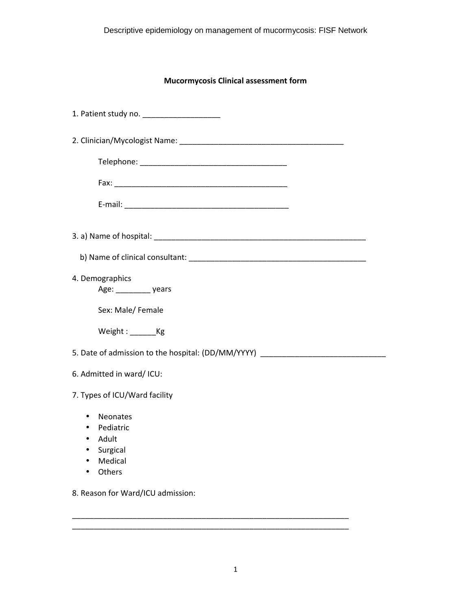## **Mucormycosis Clinical assessment form**

| 1. Patient study no. _____________________                                                                                                    |
|-----------------------------------------------------------------------------------------------------------------------------------------------|
|                                                                                                                                               |
|                                                                                                                                               |
|                                                                                                                                               |
|                                                                                                                                               |
|                                                                                                                                               |
|                                                                                                                                               |
| 4. Demographics<br>Age: _________________ years                                                                                               |
| Sex: Male/ Female                                                                                                                             |
| Weight: _________ Kg                                                                                                                          |
| 5. Date of admission to the hospital: (DD/MM/YYYY) _____________________________                                                              |
| 6. Admitted in ward/ ICU:                                                                                                                     |
| 7. Types of ICU/Ward facility                                                                                                                 |
| Neonates<br>$\bullet$<br>Pediatric<br>$\bullet$<br>Adult<br>$\bullet$<br>Surgical<br>$\bullet$<br>Medical<br>$\bullet$<br>Others<br>$\bullet$ |
| 8. Reason for Ward/ICU admission:                                                                                                             |

\_\_\_\_\_\_\_\_\_\_\_\_\_\_\_\_\_\_\_\_\_\_\_\_\_\_\_\_\_\_\_\_\_\_\_\_\_\_\_\_\_\_\_\_\_\_\_\_\_\_\_\_\_\_\_\_\_\_\_\_\_\_\_\_

\_\_\_\_\_\_\_\_\_\_\_\_\_\_\_\_\_\_\_\_\_\_\_\_\_\_\_\_\_\_\_\_\_\_\_\_\_\_\_\_\_\_\_\_\_\_\_\_\_\_\_\_\_\_\_\_\_\_\_\_\_\_\_\_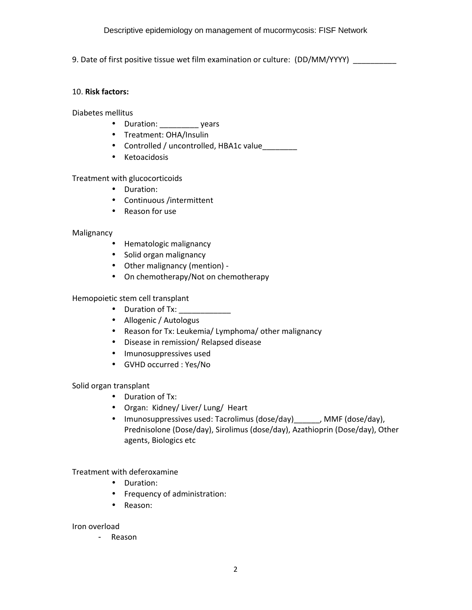9. Date of first positive tissue wet film examination or culture: (DD/MM/YYYY)

## 10. **Risk factors:**

Diabetes mellitus

- Duration: vears
- Treatment: OHA/Insulin
- Controlled / uncontrolled, HBA1c value
- Ketoacidosis

Treatment with glucocorticoids

- Duration:
- Continuous /intermittent
- Reason for use

## Malignancy

- Hematologic malignancy
- Solid organ malignancy
- Other malignancy (mention) -
- On chemotherapy/Not on chemotherapy

Hemopoietic stem cell transplant

- Duration of Tx:
- Allogenic / Autologus
- Reason for Tx: Leukemia/ Lymphoma/ other malignancy
- Disease in remission/ Relapsed disease
- Imunosuppressives used
- GVHD occurred : Yes/No

Solid organ transplant

- Duration of Tx:
- Organ: Kidney/ Liver/ Lung/ Heart
- Imunosuppressives used: Tacrolimus (dose/day)\_\_\_\_\_, MMF (dose/day), Prednisolone (Dose/day), Sirolimus (dose/day), Azathioprin (Dose/day), Other agents, Biologics etc

Treatment with deferoxamine

- Duration:
- Frequency of administration:
- Reason:

Iron overload

- Reason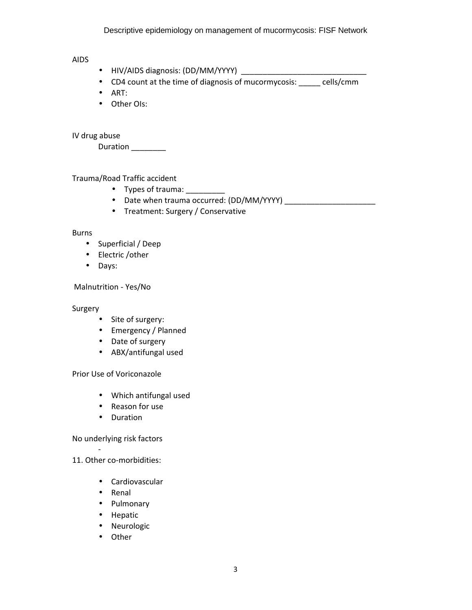Descriptive epidemiology on management of mucormycosis: FISF Network

AIDS

- HIV/AIDS diagnosis: (DD/MM/YYYY) \_\_\_\_\_\_\_\_\_\_\_\_\_\_\_\_\_\_\_\_\_\_\_\_\_\_\_\_\_
- CD4 count at the time of diagnosis of mucormycosis: \_\_\_\_\_ cells/cmm
- ART:
- Other Ols:

IV drug abuse

Duration \_\_\_\_\_\_\_\_

Trauma/Road Traffic accident

- Types of trauma: \_\_\_\_\_\_\_\_\_
- Date when trauma occurred: (DD/MM/YYYY)
- Treatment: Surgery / Conservative

## Burns

- Superficial / Deep
- Electric /other
- Days:

Malnutrition - Yes/No

Surgery

- Site of surgery:
- Emergency / Planned
- Date of surgery
- ABX/antifungal used

Prior Use of Voriconazole

- Which antifungal used
- Reason for use
- Duration

No underlying risk factors

11. Other co-morbidities:

-

- Cardiovascular
- Renal
- Pulmonary
- Hepatic
- Neurologic
- Other